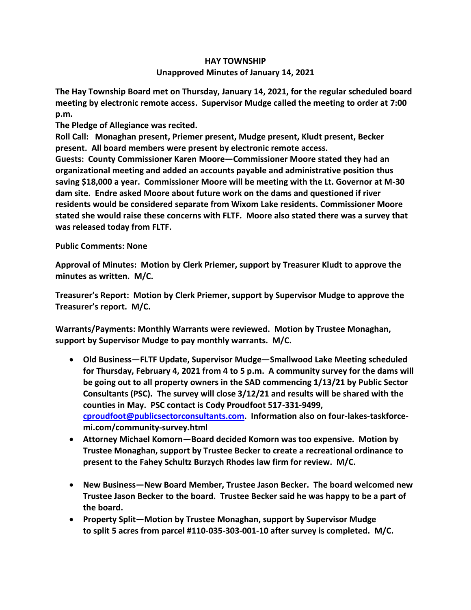## **HAY TOWNSHIP Unapproved Minutes of January 14, 2021**

**The Hay Township Board met on Thursday, January 14, 2021, for the regular scheduled board meeting by electronic remote access. Supervisor Mudge called the meeting to order at 7:00 p.m.** 

**The Pledge of Allegiance was recited.** 

**Roll Call: Monaghan present, Priemer present, Mudge present, Kludt present, Becker present. All board members were present by electronic remote access.**

**Guests: County Commissioner Karen Moore—Commissioner Moore stated they had an organizational meeting and added an accounts payable and administrative position thus saving \$18,000 a year. Commissioner Moore will be meeting with the Lt. Governor at M-30 dam site. Endre asked Moore about future work on the dams and questioned if river residents would be considered separate from Wixom Lake residents. Commissioner Moore stated she would raise these concerns with FLTF. Moore also stated there was a survey that was released today from FLTF.**

## **Public Comments: None**

**Approval of Minutes: Motion by Clerk Priemer, support by Treasurer Kludt to approve the minutes as written. M/C.**

**Treasurer's Report: Motion by Clerk Priemer, support by Supervisor Mudge to approve the Treasurer's report. M/C.**

**Warrants/Payments: Monthly Warrants were reviewed. Motion by Trustee Monaghan, support by Supervisor Mudge to pay monthly warrants. M/C.**

- **Old Business—FLTF Update, Supervisor Mudge—Smallwood Lake Meeting scheduled for Thursday, February 4, 2021 from 4 to 5 p.m. A community survey for the dams will be going out to all property owners in the SAD commencing 1/13/21 by Public Sector Consultants (PSC). The survey will close 3/12/21 and results will be shared with the counties in May. PSC contact is Cody Proudfoot 517-331-9499, [cproudfoot@publicsectorconsultants.com.](mailto:cproudfoot@publicsectorconsultants.com) Information also on four-lakes-taskforcemi.com/community-survey.html**
- **Attorney Michael Komorn—Board decided Komorn was too expensive. Motion by Trustee Monaghan, support by Trustee Becker to create a recreational ordinance to present to the Fahey Schultz Burzych Rhodes law firm for review. M/C.**
- **New Business—New Board Member, Trustee Jason Becker. The board welcomed new Trustee Jason Becker to the board. Trustee Becker said he was happy to be a part of the board.**
- **Property Split—Motion by Trustee Monaghan, support by Supervisor Mudge to split 5 acres from parcel #110-035-303-001-10 after survey is completed. M/C.**